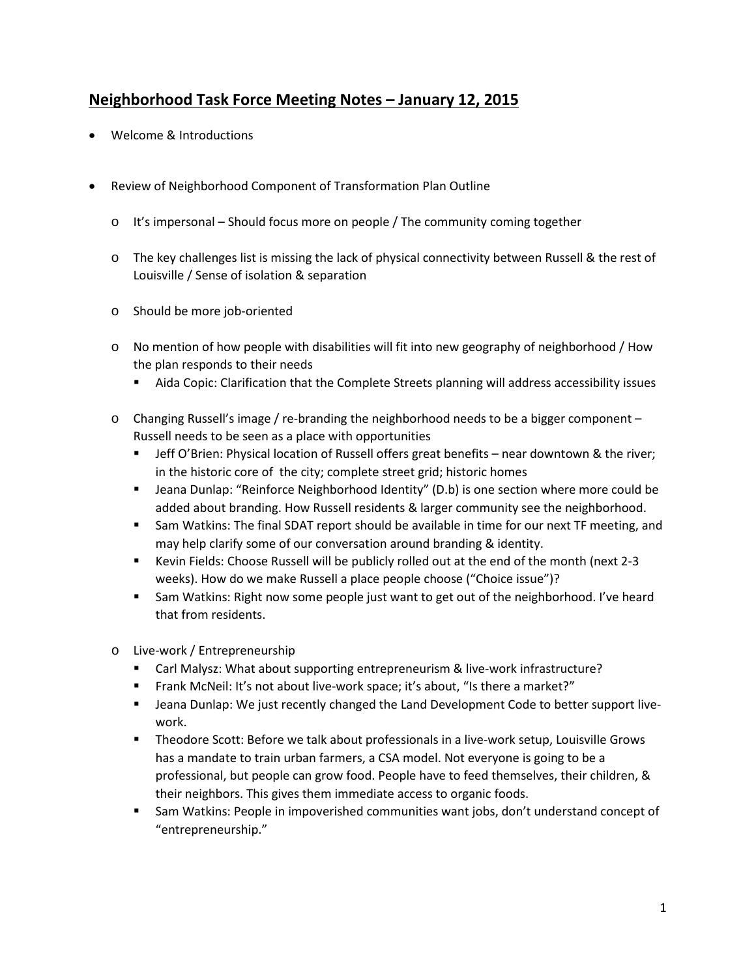## **Neighborhood Task Force Meeting Notes – January 12, 2015**

- Welcome & Introductions
- Review of Neighborhood Component of Transformation Plan Outline
	- $\circ$  It's impersonal Should focus more on people / The community coming together
	- o The key challenges list is missing the lack of physical connectivity between Russell & the rest of Louisville / Sense of isolation & separation
	- o Should be more job-oriented
	- o No mention of how people with disabilities will fit into new geography of neighborhood / How the plan responds to their needs
		- Aida Copic: Clarification that the Complete Streets planning will address accessibility issues
	- o Changing Russell's image / re-branding the neighborhood needs to be a bigger component Russell needs to be seen as a place with opportunities
		- **Jeff O'Brien: Physical location of Russell offers great benefits near downtown & the river;** in the historic core of the city; complete street grid; historic homes
		- **Jeana Dunlap: "Reinforce Neighborhood Identity" (D.b) is one section where more could be** added about branding. How Russell residents & larger community see the neighborhood.
		- Sam Watkins: The final SDAT report should be available in time for our next TF meeting, and may help clarify some of our conversation around branding & identity.
		- Kevin Fields: Choose Russell will be publicly rolled out at the end of the month (next 2-3 weeks). How do we make Russell a place people choose ("Choice issue")?
		- **Sam Watkins: Right now some people just want to get out of the neighborhood. I've heard** that from residents.
	- o Live-work / Entrepreneurship
		- Carl Malysz: What about supporting entrepreneurism & live-work infrastructure?
		- Frank McNeil: It's not about live-work space; it's about, "Is there a market?"
		- **Jeana Dunlap: We just recently changed the Land Development Code to better support live**work.
		- Theodore Scott: Before we talk about professionals in a live-work setup, Louisville Grows has a mandate to train urban farmers, a CSA model. Not everyone is going to be a professional, but people can grow food. People have to feed themselves, their children, & their neighbors. This gives them immediate access to organic foods.
		- Sam Watkins: People in impoverished communities want jobs, don't understand concept of "entrepreneurship."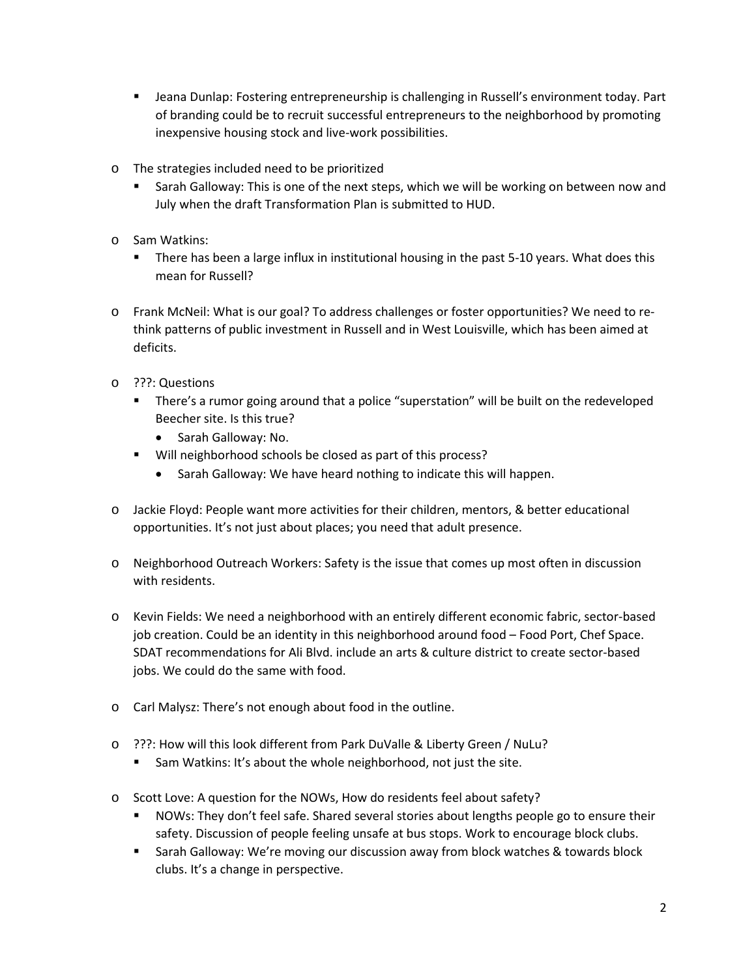- Jeana Dunlap: Fostering entrepreneurship is challenging in Russell's environment today. Part of branding could be to recruit successful entrepreneurs to the neighborhood by promoting inexpensive housing stock and live-work possibilities.
- o The strategies included need to be prioritized
	- Sarah Galloway: This is one of the next steps, which we will be working on between now and July when the draft Transformation Plan is submitted to HUD.
- o Sam Watkins:
	- **There has been a large influx in institutional housing in the past 5-10 years. What does this** mean for Russell?
- o Frank McNeil: What is our goal? To address challenges or foster opportunities? We need to rethink patterns of public investment in Russell and in West Louisville, which has been aimed at deficits.
- o ???: Questions
	- **There's a rumor going around that a police "superstation" will be built on the redeveloped** Beecher site. Is this true?
		- Sarah Galloway: No.
	- Will neighborhood schools be closed as part of this process?
		- Sarah Galloway: We have heard nothing to indicate this will happen.
- o Jackie Floyd: People want more activities for their children, mentors, & better educational opportunities. It's not just about places; you need that adult presence.
- o Neighborhood Outreach Workers: Safety is the issue that comes up most often in discussion with residents.
- o Kevin Fields: We need a neighborhood with an entirely different economic fabric, sector-based job creation. Could be an identity in this neighborhood around food – Food Port, Chef Space. SDAT recommendations for Ali Blvd. include an arts & culture district to create sector-based jobs. We could do the same with food.
- o Carl Malysz: There's not enough about food in the outline.
- o ???: How will this look different from Park DuValle & Liberty Green / NuLu?
	- Sam Watkins: It's about the whole neighborhood, not just the site.
- o Scott Love: A question for the NOWs, How do residents feel about safety?
	- **NOWs:** They don't feel safe. Shared several stories about lengths people go to ensure their safety. Discussion of people feeling unsafe at bus stops. Work to encourage block clubs.
	- Sarah Galloway: We're moving our discussion away from block watches & towards block clubs. It's a change in perspective.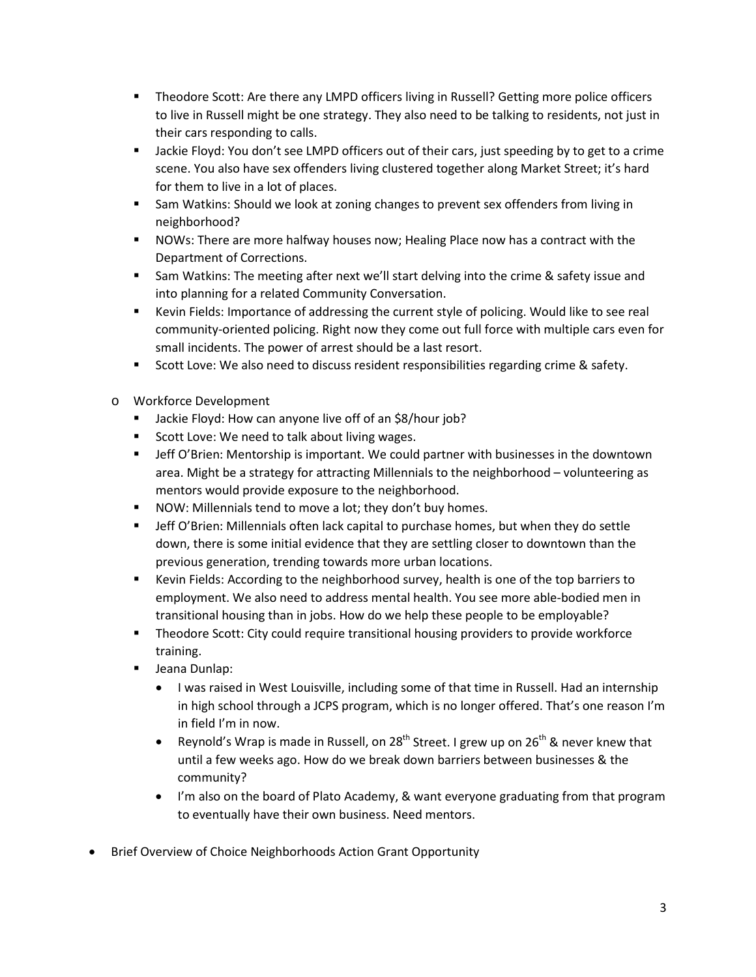- Theodore Scott: Are there any LMPD officers living in Russell? Getting more police officers to live in Russell might be one strategy. They also need to be talking to residents, not just in their cars responding to calls.
- Jackie Floyd: You don't see LMPD officers out of their cars, just speeding by to get to a crime scene. You also have sex offenders living clustered together along Market Street; it's hard for them to live in a lot of places.
- **Sam Watkins: Should we look at zoning changes to prevent sex offenders from living in** neighborhood?
- NOWs: There are more halfway houses now; Healing Place now has a contract with the Department of Corrections.
- Sam Watkins: The meeting after next we'll start delving into the crime & safety issue and into planning for a related Community Conversation.
- Kevin Fields: Importance of addressing the current style of policing. Would like to see real community-oriented policing. Right now they come out full force with multiple cars even for small incidents. The power of arrest should be a last resort.
- **Scott Love: We also need to discuss resident responsibilities regarding crime & safety.**
- o Workforce Development
	- **Jackie Floyd: How can anyone live off of an \$8/hour job?**
	- Scott Love: We need to talk about living wages.
	- **F** Jeff O'Brien: Mentorship is important. We could partner with businesses in the downtown area. Might be a strategy for attracting Millennials to the neighborhood – volunteering as mentors would provide exposure to the neighborhood.
	- **NOW: Millennials tend to move a lot; they don't buy homes.**
	- **Jeff O'Brien: Millennials often lack capital to purchase homes, but when they do settle** down, there is some initial evidence that they are settling closer to downtown than the previous generation, trending towards more urban locations.
	- Kevin Fields: According to the neighborhood survey, health is one of the top barriers to employment. We also need to address mental health. You see more able-bodied men in transitional housing than in jobs. How do we help these people to be employable?
	- **Theodore Scott: City could require transitional housing providers to provide workforce** training.
	- **Jeana Dunlap:** 
		- I was raised in West Louisville, including some of that time in Russell. Had an internship in high school through a JCPS program, which is no longer offered. That's one reason I'm in field I'm in now.
		- Reynold's Wrap is made in Russell, on 28<sup>th</sup> Street. I grew up on 26<sup>th</sup> & never knew that until a few weeks ago. How do we break down barriers between businesses & the community?
		- I'm also on the board of Plato Academy, & want everyone graduating from that program to eventually have their own business. Need mentors.
- Brief Overview of Choice Neighborhoods Action Grant Opportunity